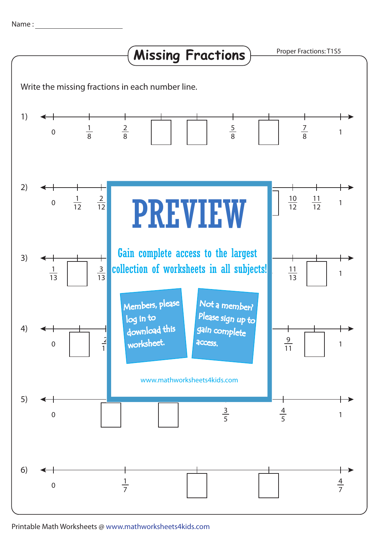